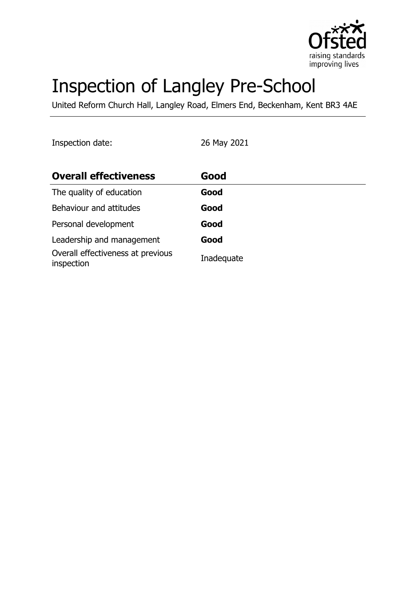

# Inspection of Langley Pre-School

United Reform Church Hall, Langley Road, Elmers End, Beckenham, Kent BR3 4AE

Inspection date: 26 May 2021

| <b>Overall effectiveness</b>                    | Good       |
|-------------------------------------------------|------------|
| The quality of education                        | Good       |
| Behaviour and attitudes                         | Good       |
| Personal development                            | Good       |
| Leadership and management                       | Good       |
| Overall effectiveness at previous<br>inspection | Inadequate |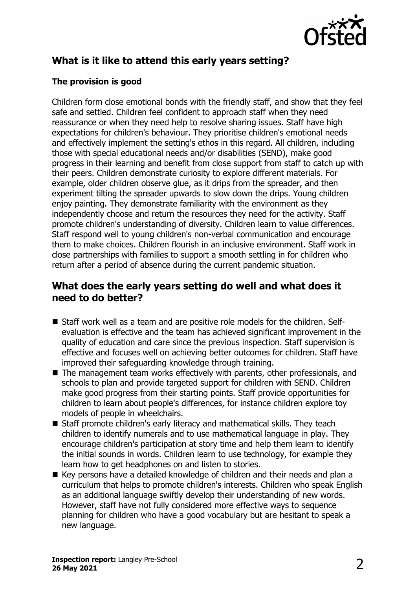

# **What is it like to attend this early years setting?**

#### **The provision is good**

Children form close emotional bonds with the friendly staff, and show that they feel safe and settled. Children feel confident to approach staff when they need reassurance or when they need help to resolve sharing issues. Staff have high expectations for children's behaviour. They prioritise children's emotional needs and effectively implement the setting's ethos in this regard. All children, including those with special educational needs and/or disabilities (SEND), make good progress in their learning and benefit from close support from staff to catch up with their peers. Children demonstrate curiosity to explore different materials. For example, older children observe glue, as it drips from the spreader, and then experiment tilting the spreader upwards to slow down the drips. Young children enjoy painting. They demonstrate familiarity with the environment as they independently choose and return the resources they need for the activity. Staff promote children's understanding of diversity. Children learn to value differences. Staff respond well to young children's non-verbal communication and encourage them to make choices. Children flourish in an inclusive environment. Staff work in close partnerships with families to support a smooth settling in for children who return after a period of absence during the current pandemic situation.

### **What does the early years setting do well and what does it need to do better?**

- Staff work well as a team and are positive role models for the children. Selfevaluation is effective and the team has achieved significant improvement in the quality of education and care since the previous inspection. Staff supervision is effective and focuses well on achieving better outcomes for children. Staff have improved their safeguarding knowledge through training.
- $\blacksquare$  The management team works effectively with parents, other professionals, and schools to plan and provide targeted support for children with SEND. Children make good progress from their starting points. Staff provide opportunities for children to learn about people's differences, for instance children explore toy models of people in wheelchairs.
- Staff promote children's early literacy and mathematical skills. They teach children to identify numerals and to use mathematical language in play. They encourage children's participation at story time and help them learn to identify the initial sounds in words. Children learn to use technology, for example they learn how to get headphones on and listen to stories.
- Key persons have a detailed knowledge of children and their needs and plan a curriculum that helps to promote children's interests. Children who speak English as an additional language swiftly develop their understanding of new words. However, staff have not fully considered more effective ways to sequence planning for children who have a good vocabulary but are hesitant to speak a new language.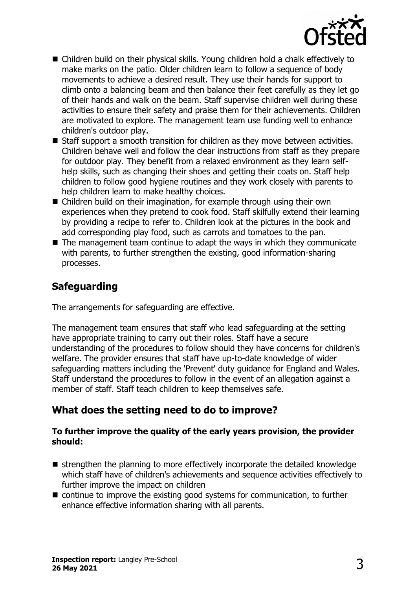

- Children build on their physical skills. Young children hold a chalk effectively to make marks on the patio. Older children learn to follow a sequence of body movements to achieve a desired result. They use their hands for support to climb onto a balancing beam and then balance their feet carefully as they let go of their hands and walk on the beam. Staff supervise children well during these activities to ensure their safety and praise them for their achievements. Children are motivated to explore. The management team use funding well to enhance children's outdoor play.
- $\blacksquare$  Staff support a smooth transition for children as they move between activities. Children behave well and follow the clear instructions from staff as they prepare for outdoor play. They benefit from a relaxed environment as they learn selfhelp skills, such as changing their shoes and getting their coats on. Staff help children to follow good hygiene routines and they work closely with parents to help children learn to make healthy choices.
- $\blacksquare$  Children build on their imagination, for example through using their own experiences when they pretend to cook food. Staff skilfully extend their learning by providing a recipe to refer to. Children look at the pictures in the book and add corresponding play food, such as carrots and tomatoes to the pan.
- $\blacksquare$  The management team continue to adapt the ways in which they communicate with parents, to further strengthen the existing, good information-sharing processes.

### **Safeguarding**

The arrangements for safeguarding are effective.

The management team ensures that staff who lead safeguarding at the setting have appropriate training to carry out their roles. Staff have a secure understanding of the procedures to follow should they have concerns for children's welfare. The provider ensures that staff have up-to-date knowledge of wider safeguarding matters including the 'Prevent' duty guidance for England and Wales. Staff understand the procedures to follow in the event of an allegation against a member of staff. Staff teach children to keep themselves safe.

# **What does the setting need to do to improve?**

#### **To further improve the quality of the early years provision, the provider should:**

- $\blacksquare$  strengthen the planning to more effectively incorporate the detailed knowledge which staff have of children's achievements and sequence activities effectively to further improve the impact on children
- $\blacksquare$  continue to improve the existing good systems for communication, to further enhance effective information sharing with all parents.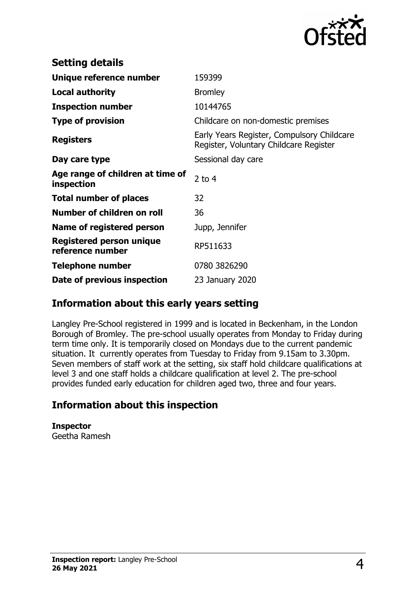

| <b>Setting details</b>                         |                                                                                      |
|------------------------------------------------|--------------------------------------------------------------------------------------|
| Unique reference number                        | 159399                                                                               |
| <b>Local authority</b>                         | <b>Bromley</b>                                                                       |
| <b>Inspection number</b>                       | 10144765                                                                             |
| <b>Type of provision</b>                       | Childcare on non-domestic premises                                                   |
| <b>Registers</b>                               | Early Years Register, Compulsory Childcare<br>Register, Voluntary Childcare Register |
| Day care type                                  | Sessional day care                                                                   |
| Age range of children at time of<br>inspection | 2 to $4$                                                                             |
| <b>Total number of places</b>                  | 32                                                                                   |
| Number of children on roll                     | 36                                                                                   |
| Name of registered person                      | Jupp, Jennifer                                                                       |
| Registered person unique<br>reference number   | RP511633                                                                             |
| <b>Telephone number</b>                        | 0780 3826290                                                                         |
| Date of previous inspection                    | 23 January 2020                                                                      |

#### **Information about this early years setting**

Langley Pre-School registered in 1999 and is located in Beckenham, in the London Borough of Bromley. The pre-school usually operates from Monday to Friday during term time only. It is temporarily closed on Mondays due to the current pandemic situation. It currently operates from Tuesday to Friday from 9.15am to 3.30pm. Seven members of staff work at the setting, six staff hold childcare qualifications at level 3 and one staff holds a childcare qualification at level 2. The pre-school provides funded early education for children aged two, three and four years.

# **Information about this inspection**

**Inspector** Geetha Ramesh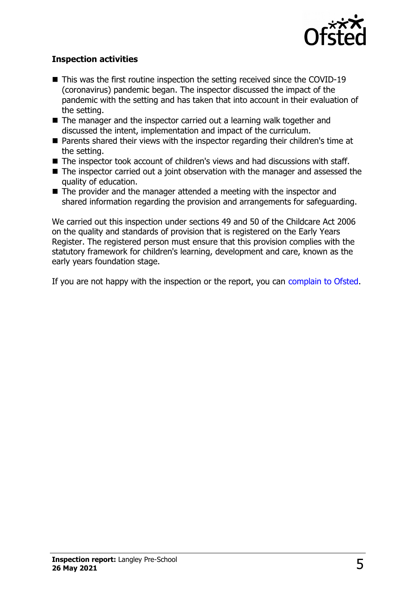

#### **Inspection activities**

- $\blacksquare$  This was the first routine inspection the setting received since the COVID-19 (coronavirus) pandemic began. The inspector discussed the impact of the pandemic with the setting and has taken that into account in their evaluation of the setting.
- $\blacksquare$  The manager and the inspector carried out a learning walk together and discussed the intent, implementation and impact of the curriculum.
- $\blacksquare$  Parents shared their views with the inspector regarding their children's time at the setting.
- $\blacksquare$  The inspector took account of children's views and had discussions with staff.
- $\blacksquare$  The inspector carried out a joint observation with the manager and assessed the quality of education.
- $\blacksquare$  The provider and the manager attended a meeting with the inspector and shared information regarding the provision and arrangements for safeguarding.

We carried out this inspection under sections 49 and 50 of the Childcare Act 2006 on the quality and standards of provision that is registered on the Early Years Register. The registered person must ensure that this provision complies with the statutory framework for children's learning, development and care, known as the early years foundation stage.

If you are not happy with the inspection or the report, you can [complain to Ofsted.](http://www.gov.uk/complain-ofsted-report)